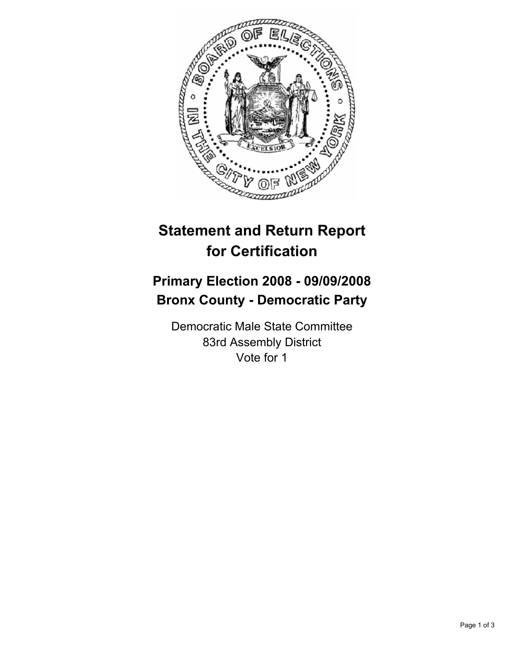

## **Statement and Return Report for Certification**

## **Primary Election 2008 - 09/09/2008 Bronx County - Democratic Party**

Democratic Male State Committee 83rd Assembly District Vote for 1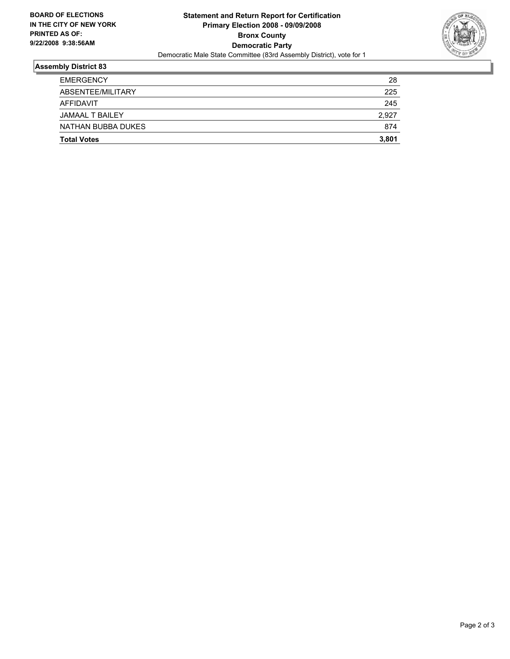

## **Assembly District 83**

| <b>Total Votes</b>     | 3,801 |
|------------------------|-------|
| NATHAN BUBBA DUKES     | 874   |
| <b>JAMAAL T BAILEY</b> | 2,927 |
| AFFIDAVIT              | 245   |
| ABSENTEE/MILITARY      | 225   |
| <b>EMERGENCY</b>       | 28    |